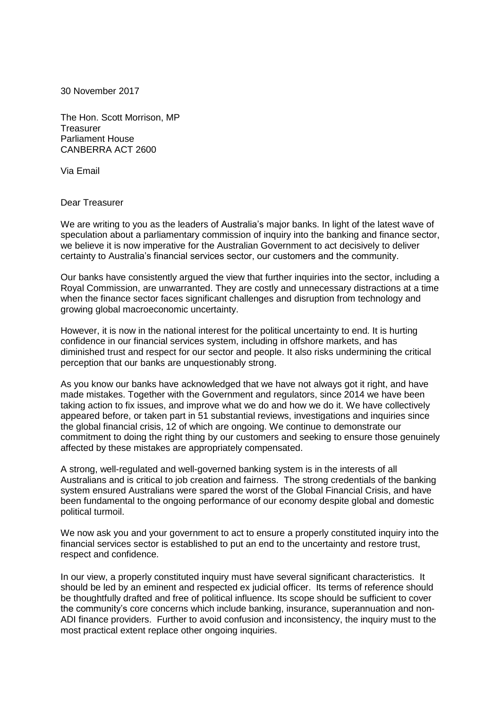30 November 2017

The Hon. Scott Morrison, MP Treasurer Parliament House CANBERRA ACT 2600

Via Email

## Dear Treasurer

We are writing to you as the leaders of Australia's major banks. In light of the latest wave of speculation about a parliamentary commission of inquiry into the banking and finance sector, we believe it is now imperative for the Australian Government to act decisively to deliver certainty to Australia's financial services sector, our customers and the community.

Our banks have consistently argued the view that further inquiries into the sector, including a Royal Commission, are unwarranted. They are costly and unnecessary distractions at a time when the finance sector faces significant challenges and disruption from technology and growing global macroeconomic uncertainty.

However, it is now in the national interest for the political uncertainty to end. It is hurting confidence in our financial services system, including in offshore markets, and has diminished trust and respect for our sector and people. It also risks undermining the critical perception that our banks are unquestionably strong.

As you know our banks have acknowledged that we have not always got it right, and have made mistakes. Together with the Government and regulators, since 2014 we have been taking action to fix issues, and improve what we do and how we do it. We have collectively appeared before, or taken part in 51 substantial reviews, investigations and inquiries since the global financial crisis, 12 of which are ongoing. We continue to demonstrate our commitment to doing the right thing by our customers and seeking to ensure those genuinely affected by these mistakes are appropriately compensated.

A strong, well-regulated and well-governed banking system is in the interests of all Australians and is critical to job creation and fairness. The strong credentials of the banking system ensured Australians were spared the worst of the Global Financial Crisis, and have been fundamental to the ongoing performance of our economy despite global and domestic political turmoil.

We now ask you and your government to act to ensure a properly constituted inquiry into the financial services sector is established to put an end to the uncertainty and restore trust, respect and confidence.

In our view, a properly constituted inquiry must have several significant characteristics. It should be led by an eminent and respected ex judicial officer. Its terms of reference should be thoughtfully drafted and free of political influence. Its scope should be sufficient to cover the community's core concerns which include banking, insurance, superannuation and non-ADI finance providers. Further to avoid confusion and inconsistency, the inquiry must to the most practical extent replace other ongoing inquiries.